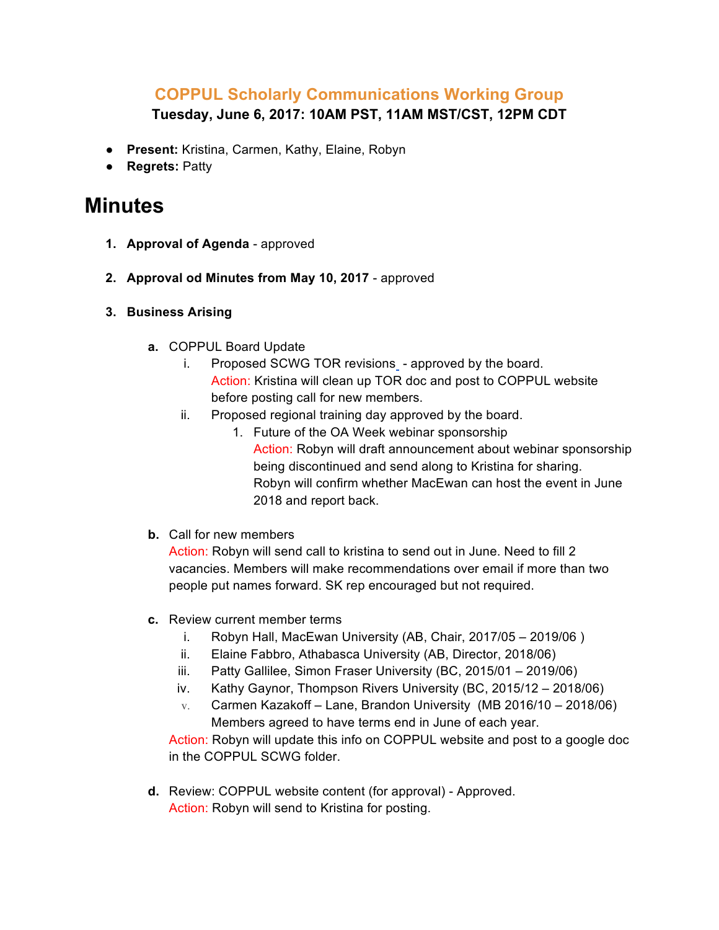## **COPPUL Scholarly Communications Working Group Tuesday, June 6, 2017: 10AM PST, 11AM MST/CST, 12PM CDT**

- **Present:** Kristina, Carmen, Kathy, Elaine, Robyn
- **Regrets:** Patty

## **Minutes**

- **1. Approval of Agenda**  approved
- **2. Approval od Minutes from May 10, 2017** approved
- **3. Business Arising**
	- **a.** COPPUL Board Update
		- i. Proposed SCWG TOR revisions approved by the board. Action: Kristina will clean up TOR doc and post to COPPUL website before posting call for new members.
		- ii. Proposed regional training day approved by the board.
			- 1. Future of the OA Week webinar sponsorship Action: Robyn will draft announcement about webinar sponsorship being discontinued and send along to Kristina for sharing. Robyn will confirm whether MacEwan can host the event in June 2018 and report back.
	- **b.** Call for new members

Action: Robyn will send call to kristina to send out in June. Need to fill 2 vacancies. Members will make recommendations over email if more than two people put names forward. SK rep encouraged but not required.

- **c.** Review current member terms
	- i. Robyn Hall, MacEwan University (AB, Chair, 2017/05 2019/06 )
	- ii. Elaine Fabbro, Athabasca University (AB, Director, 2018/06)
	- iii. Patty Gallilee, Simon Fraser University (BC, 2015/01 2019/06)
	- iv. Kathy Gaynor, Thompson Rivers University (BC, 2015/12 2018/06)
	- $v.$  Carmen Kazakoff Lane, Brandon University (MB 2016/10 2018/06) Members agreed to have terms end in June of each year.

Action: Robyn will update this info on COPPUL website and post to a google doc in the COPPUL SCWG folder.

**d.** Review: COPPUL website content (for approval) - Approved. Action: Robyn will send to Kristina for posting.